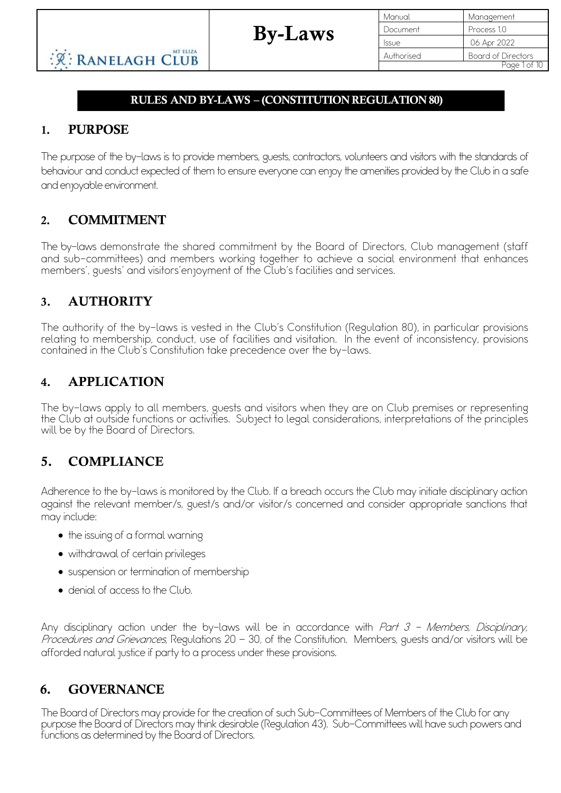| Manual       | Management                |
|--------------|---------------------------|
| Document     | Process 1.0               |
| <b>Issue</b> | 06 Apr 2022               |
| Authorised   | <b>Board of Directors</b> |
|              | Page 1 of 10              |

## RULES AND BY-LAWS – (CONSTITUTION REGULATION 80)

By-Laws

## 1. PURPOSE

The purpose of the by-laws is to provide members, guests, contractors, volunteers and visitors with the standards of behaviour and conduct expected of them to ensure everyone can enjoy the amenities provided by the Club in a safe and enjoyable environment.

## 2. COMMITMENT

The by-laws demonstrate the shared commitment by the Board of Directors, Club management (staff and sub-committees) and members working together to achieve a social environment that enhances members', guests' and visitors'enjoyment of the Club's facilities and services.

### 3. AUTHORITY

The authority of the by-laws is vested in the Club's Constitution (Regulation 80), in particular provisions relating to membership, conduct, use of facilities and visitation. In the event of inconsistency, provisions contained in the Club's Constitution take precedence over the by-laws.

## 4. APPLICATION

The by-laws apply to all members, guests and visitors when they are on Club premises or representing the Club at outside functions or activities. Subject to legal considerations, interpretations of the principles will be by the Board of Directors.

# 5. COMPLIANCE

Adherence to the by-laws is monitored by the Club. If a breach occurs the Club may initiate disciplinary action against the relevant member/s, guest/s and/or visitor/s concerned and consider appropriate sanctions that may include:

- the issuing of a formal warning
- withdrawal of certain privileges
- suspension or termination of membership
- denial of access to the Club.

Any disciplinary action under the by-laws will be in accordance with Part 3 - Members, Disciplinary, Procedures and Grievances, Regulations 20 - 30, of the Constitution. Members, guests and/or visitors will be afforded natural justice if party to a process under these provisions.

# 6. GOVERNANCE

The Board of Directors may provide for the creation of such Sub-Committees of Members of the Club for any purpose the Board of Directors may think desirable (Regulation 43). Sub-Committees will have such powers and functions as determined by the Board of Directors.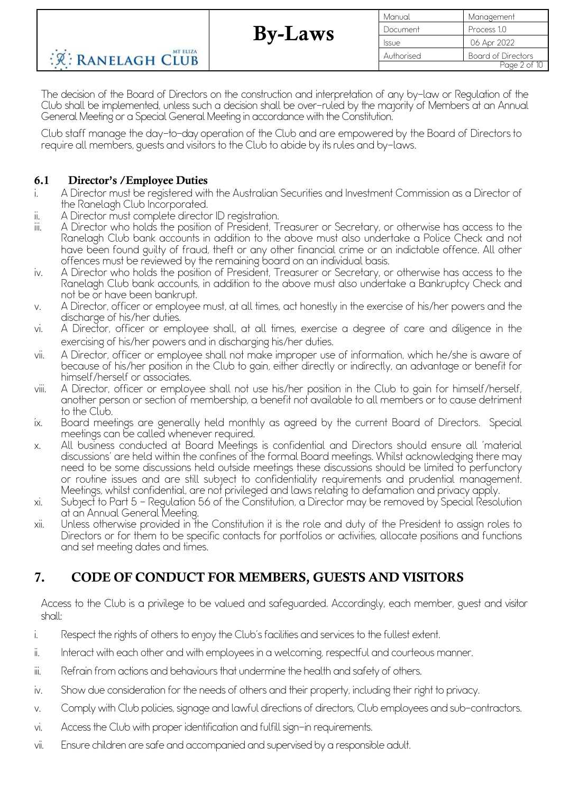Manual Management Document Process 10 Issue 06 Apr 2022 Authorised Board of Directors Page 2 of 10

The decision of the Board of Directors on the construction and interpretation of any by-law or Regulation of the Club shall be implemented, unless such a decision shall be over-ruled by the majority of Members at an Annual General Meeting or a Special General Meeting in accordance with the Constitution.

Club staff manage the day-to-day operation of the Club and are empowered by the Board of Directorsto require all members, guests and visitors to the Club to abide by its rules and by-laws.

#### 6.1 Director's /Employee Duties

**REANELAGH CLUB** 

- i. A Director must be registered with the Australian Securities and Investment Commission as a Director of the Ranelagh Club Incorporated.
- ii. A Director must complete director ID registration.

MT ELIZA

- iii. A Director who holds the position of President, Treasurer or Secretary, or otherwise has access to the Ranelagh Club bank accounts in addition to the above must also undertake a Police Check and not have been found guilty of fraud, theft or any other financial crime or an indictable offence. All other offences must be reviewed by the remaining board on an individual basis.
- iv. A Director who holds the position of President, Treasurer or Secretary, or otherwise has access to the Ranelagh Club bank accounts, in addition to the above must also undertake a Bankruptcy Check and not be or have been bankrupt.
- v. A Director, officer or employee must, at all times, act honestly in the exercise of his/her powers and the discharge of his/her duties.
- vi. A Director, officer or employee shall, at all times, exercise a degree of care and diligence in the exercising of his/her powers and in discharging his/her duties.
- vii. A Director, officer or employee shall not make improper use of information, which he/she is aware of because of his/her position in the Club to gain, either directly or indirectly, an advantage or benefit for himself/herself or associates.
- viii. A Director, officer or employee shall not use his/her position in the Club to gain for himself/herself, another person or section of membership, a benefit not available to all members or to cause detriment to the Club.
- ix. Board meetings are generally held monthly as agreed by the current Board of Directors. Special meetings can be called whenever required.
- x. All business conducted at Board Meetings is confidential and Directors should ensure all 'material discussions' are held within the confines of the formal Board meetings. Whilst acknowledging there may need to be some discussions held outside meetings these discussions should be limited to perfunctory or routine issues and are still subject to confidentiality requirements and prudential management. Meetings, whilst confidential, are not privileged and laws relating to defamation and privacy apply.
- xi. Subject to Part 5 Regulation 56 of the Constitution, a Director may be removed by Special Resolution at an Annual General Meeting. xii. Unless otherwise provided in the Constitution it is the role and duty of the President to assign roles to
- Directors or for them to be specific contacts for portfolios or activities, allocate positions and functions and set meeting dates and times.

# 7. CODE OF CONDUCT FOR MEMBERS, GUESTS AND VISITORS

Access to the Club is a privilege to be valued and safeguarded. Accordingly, each member, guest and visitor shall:

- i. Respect the rights of others to enjoy the Club's facilities and services to the fullest extent.
- ii. Interact with each other and with employees in a welcoming, respectful and courteous manner.
- iii. Refrain from actions and behaviours that undermine the health and safety of others.
- iv. Show due consideration for the needs of others and their property, including their right to privacy.
- v. Comply with Club policies, signage and lawful directions of directors, Club employees and sub-contractors.
- vi. Access the Club with proper identification and fulfill sign-in requirements.
- vii. Ensure children are safe and accompanied and supervised by a responsible adult.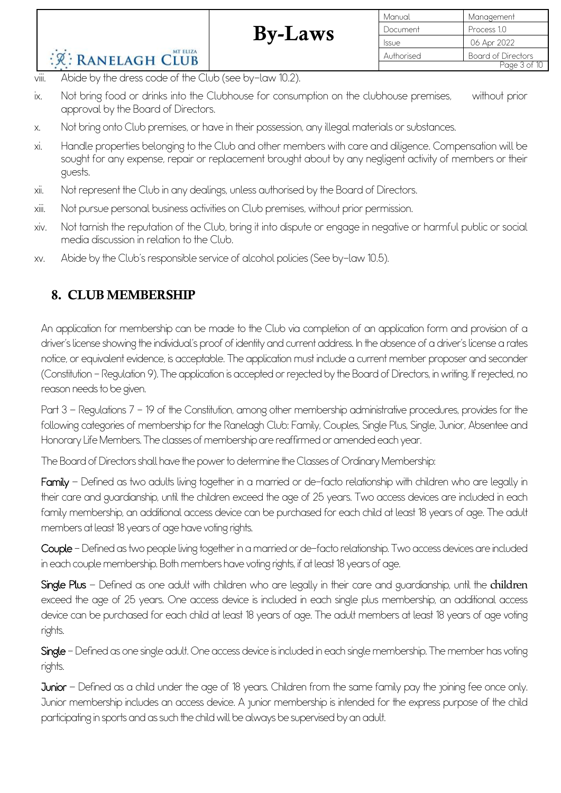|                                                                 |                | Manual       | Management                |
|-----------------------------------------------------------------|----------------|--------------|---------------------------|
|                                                                 | <b>By-Laws</b> | Document     | Process 1.0               |
|                                                                 |                | <b>Issue</b> | 06 Apr 2022               |
| MT ELIZA<br><b>R: RANELAGH CLUB</b>                             |                | Authorised   | <b>Board of Directors</b> |
|                                                                 |                |              | Page 3 of 10              |
| viii.<br>Abide by the dress code of the Club (see by-law 10.2). |                |              |                           |

- ix. Not bring food or drinks into the Clubhouse for consumption on the clubhouse premises, without prior approval by the Board of Directors.
- x. Not bring onto Club premises, or have in their possession, any illegal materials or substances.
- xi. Handle properties belonging to the Club and other members with care and diligence. Compensation will be sought for any expense, repair or replacement brought about by any negligent activity of members or their guests.
- xii. Not represent the Club in any dealings, unless authorised by the Board of Directors.
- xiii. Not pursue personal business activities on Club premises, without prior permission.
- xiv. Not tarnish the reputation of the Club, bring it into dispute or engage in negative or harmful public or social media discussion in relation to the Club.
- xv. Abide by the Club's responsible service of alcohol policies (See by-law 10.5).

# 8. CLUB MEMBERSHIP

An application for membership can be made to the Club via completion of an application form and provision of a driver's license showing the individual's proof of identity and current address. In the absence of a driver's license a rates notice, or equivalent evidence, is acceptable. The application must include a current member proposer and seconder (Constitution - Regulation 9).The application is accepted or rejected by the Board of Directors, in writing. If rejected, no reason needs to be given.

Part 3 – Regulations 7 – 19 of the Constitution, among other membership administrative procedures, provides for the following categories of membership for the Ranelagh Club: Family, Couples, Single Plus, Single, Junior, Absentee and Honorary Life Members. The classes of membership are reaffirmed or amended each year.

The Board of Directors shall have the power to determine the Classes of Ordinary Membership:

Family – Defined as two adults living together in a married or de-facto relationship with children who are legally in their care and guardianship, until the children exceed the age of 25 years. Two access devices are included in each family membership, an additional access device can be purchased for each child at least 18 years of age. The adult members at least 18 years of age have voting rights.

Couple -Defined as two people living together in a married or de-facto relationship. Two access devices are included in each couple membership. Both members have voting rights, if at least 18 years of age.

Single Plus – Defined as one adult with children who are legally in their care and guardianship, until the children exceed the age of 25 years. One access device is included in each single plus membership, an additional access device can be purchased for each child at least 18 years of age. The adult members at least 18 years of age voting rights.

Single - Defined as one single adult. One access device is included in each single membership. The member has voting rights.

Junior – Defined as a child under the age of 18 years. Children from the same family pay the joining fee once only. Junior membership includes an access device. A junior membership is intended for the express purpose of the child participating in sports and as such the child will be always be supervised by an adult.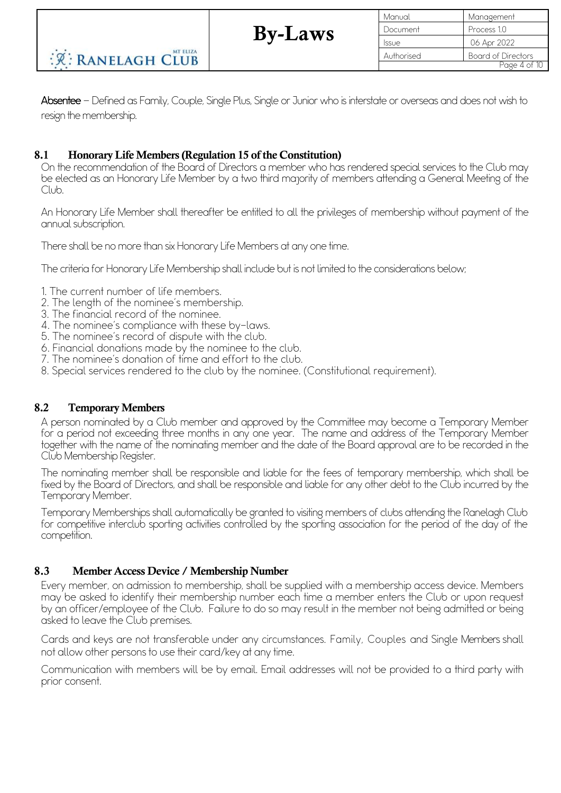| Manual     | Management                |
|------------|---------------------------|
| Document   | Process 1.0               |
| Issue      | 06 Apr 2022               |
| Authorised | <b>Board of Directors</b> |
|            | Page 4 of 10              |

Absentee – Defined as Family, Couple, Single Plus, Single or Junior who is interstate or overseas and does not wish to resign the membership.

#### 8.1 Honorary Life Members (Regulation 15 of the Constitution)

On the recommendation of the Board of Directors a member who has rendered special services to the Club may be elected as an Honorary Life Member by a two third majority of members attending a General Meeting of the Club.

An Honorary Life Member shall thereafter be entitled to all the privileges of membership without payment of the annual subscription.

There shall be no more than six Honorary Life Members at any one time.

The criteria for Honorary Life Membership shall include but is not limited to the considerations below;

- 
- 1. The current number of life members. 2. The length of the nominee's membership.
- 
- 3. The financial record of the nominee.<br>4. The nominee's compliance with these by-laws.
- 
- 
- 
- 5. The nominee's record of dispute with the club.<br>6. Financial donations made by the nominee to the club.<br>7. The nominee's donation of time and effort to the club.<br>8. Special services rendered to the club by the nominee. (

#### 8.2 Temporary Members

A person nominated by a Club member and approved by the Committee may become a Temporary Member for a period not exceeding three months in any one year. The name and address of the Temporary Member together with the name of the nominating member and the date of the Board approval are to be recorded in the Club Membership Register.

The nominating member shall be responsible and liable for the fees of temporary membership, which shall be fixed by the Board of Directors, and shall be responsible and liable for any other debt to the Club incurred by the Temporary Member.

Temporary Memberships shall automatically be granted to visiting members of clubs attending the Ranelagh Club for competitive interclub sporting activities controlled by the sporting association for the period of the day of the competition.

#### 8.3 Member Access Device / Membership Number

Every member, on admission to membership, shall be supplied with a membership access device. Members may be asked to identify their membership number each time a member enters the Club or upon request by an officer/employee of the Club. Failure to do so may result in the member not being admitted or being asked to leave the Club premises.

Cards and keys are not transferable under any circumstances. Family, Couples and Single Members shall not allow other persons to use their card/key at any time.

Communication with members will be by email. Email addresses will not be provided to a third party with prior consent.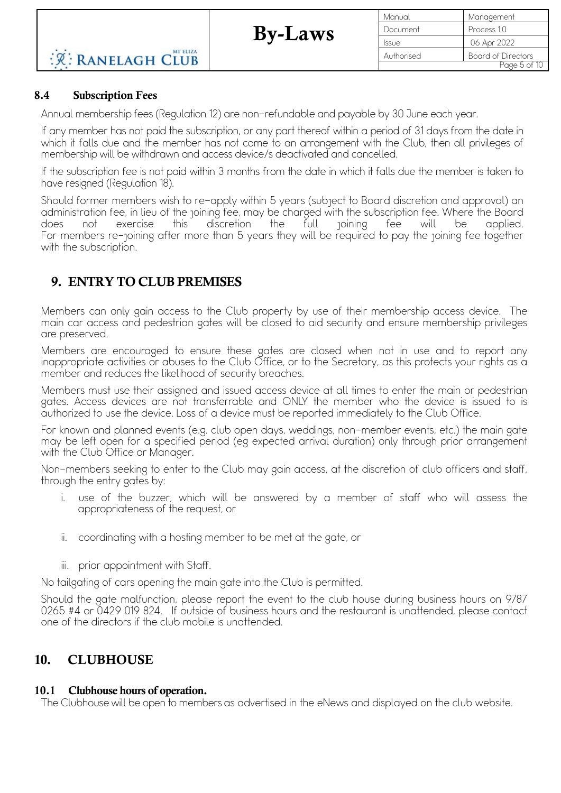Manual Management Document Process 10 Issue 06 Apr 2022 Authorised Board of Directors Page 5 of 10

### 8.4 Subscription Fees

**R: RANELAGH CLUB** 

Annual membership fees (Regulation 12) are non-refundable and payable by 30 June each year.

If any member has not paid the subscription, or any part thereof within a period of 31 days from the date in which it falls due and the member has not come to an arrangement with the Club, then all privileges of membership will be withdrawn and access device/s deactivated and cancelled.

If the subscription fee is not paid within 3 months from the date in which it falls due the member is taken to have resigned (Regulation 18).

Should former members wish to re-apply within 5 years (subject to Board discretion and approval) an administration fee, in lieu of the joining fee, may be charged with the subscription fee. Where the Board does not exercise this discretion the full joining fee will be applied. For members re-joining after more than 5 years they will be required to pay the joining fee together with the subscription.

# 9. ENTRY TO CLUB PREMISES

MT ELIZA

Members can only gain access to the Club property by use of their membership access device. The main car access and pedestrian gates will be closed to aid security and ensure membership privileges are preserved.

Members are encouraged to ensure these gates are closed when not in use and to report any inappropriate activities or abuses to the Club Office, or to the Secretary, as this protects your rights as a member and reduces the likelihood of security breaches.

Members must use their assigned and issued access device at all times to enter the main or pedestrian gates. Access devices are not transferrable and ONLY the member who the device is issued to is authorized to use the device. Loss of a device must be reported immediately to the Club Office.

For known and planned events (e.g. club open days, weddings, non-member events, etc.) the main gate may be left open for a specified period (eg expected arrival duration) only through prior arrangement with the Club Office or Manager.

Non-members seeking to enter to the Club may gain access, at the discretion of club officers and staff, through the entry gates by:

- i. use of the buzzer, which will be answered by a member of staff who will assess the appropriateness of the request, or
- ii. coordinating with a hosting member to be met at the gate, or
- iii. prior appointment with Staff.

No tailgating of cars opening the main gate into the Club is permitted.

Should the gate malfunction, please report the event to the club house during business hours on 9787 0265 #4 or 0429 019 824. If outside of business hours and the restaurant is unattended, please contact one of the directors if the club mobile is unattended.

# 10. CLUBHOUSE

## 10.1 Clubhouse hours of operation.

The Clubhouse will be open to members as advertised in the eNews and displayed on the club website.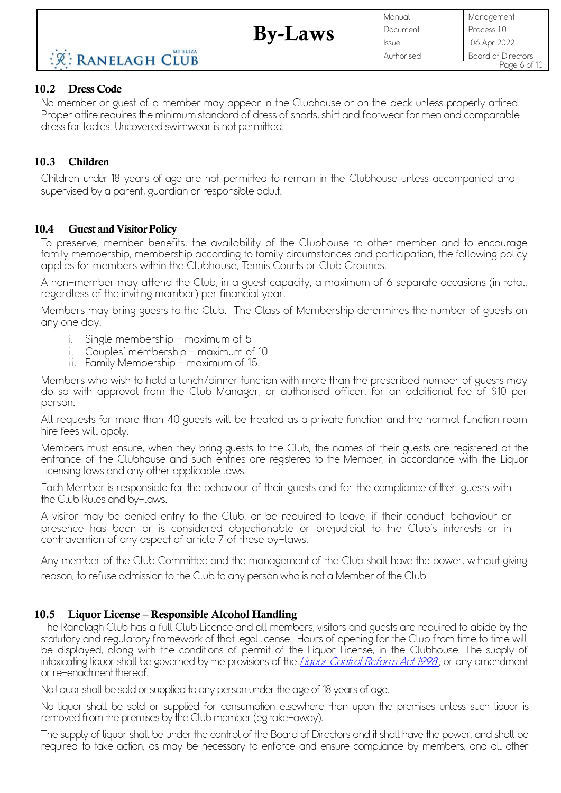By-Laws

#### 10.2 Dress Code

No member or guest of a member may appear in the Clubhouse or on the deck unless properly attired. Proper attire requires the minimum standard of dress of shorts, shirt and footwear for men and comparable dressfor ladies. Uncovered swimwearis not permitted.

#### 10.3 Children

Children under 18 years of age are not permitted to remain in the Clubhouse unless accompanied and supervised by a parent, guardian or responsible adult.

#### 10.4 Guest and Visitor Policy

To preserve; member benefits, the availability of the Clubhouse to other member and to encourage family membership, membership according to family circumstances and participation, the following policy applies for members within the Clubhouse, Tennis Courts or Club Grounds.

A non-member may attend the Club, in a guest capacity, a maximum of 6 separate occasions (in total, regardless of the inviting member) per financial year.

Members may bring guests to the Club. The Class of Membership determines the number of guests on any one day:

- i. Single membership  $-$  maximum of 5
- ii. Couples' membership maximum of 10
- iii. Family Membership maximum of 15.

Members who wish to hold a lunch/dinner function with more than the prescribed number of guests may do so with approval from the Club Manager, or authorised officer, for an additional fee of \$10 per person.

All requests for more than 40 guests will be treated as a private function and the normal function room hire fees will apply.

Members must ensure, when they bring guests to the Club, the names of their guests are registered at the entrance of the Clubhouse and such entries are registered to the Member, in accordance with the Liquor Licensing laws and any other applicable laws.

Each Member is responsible for the behaviour of their guests and for the compliance of their guests with the Club Rules and by-laws.

A visitor may be denied entry to the Club, or be required to leave, if their conduct, behaviour or presence has been or is considered objectionable or prejudicial to the Club's interests or in contravention of any aspect of article 7 of these by-laws.

Any member of the Club Committee and the management of the Club shall have the power, without giving reason, to refuse admission to the Club to any person who is not a Member of the Club.

#### 10.5 Liquor License – Responsible Alcohol Handling

The Ranelagh Club has a full Club Licence and all members, visitors and guests are required to abide by the statutory and regulatory framework of that legal license. Hours of opening for the Club from time to time will be displayed, along with the conditions of permit of the Liquor License, in the Clubhouse. The supply of intoxicating liquor shall be governed by the provisions of the Liquor Control Reform Act 1998, or any amendment or re-enactment thereof.

No liquor shall be sold orsupplied to any person under the age of 18 years of age.

No liquor shall be sold or supplied for consumption elsewhere than upon the premises unless such liquor is removed from the premises by the Club member(eg take-away).

The supply of liquor shall be under the control of the Board of Directors and it shall have the power, and shall be required to take action, as may be necessary to enforce and ensure compliance by members, and all other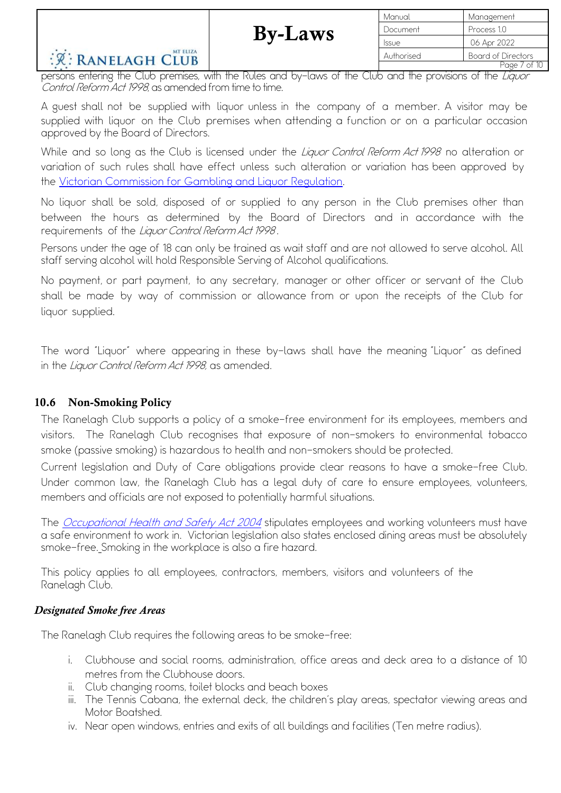#### MT ELIZA R: RANELAGH CLUB

| Manual       | Management         |
|--------------|--------------------|
| Document     | Process 1.0        |
| <b>Issue</b> | 06 Apr 2022        |
| Authorised   | Board of Directors |
|              | Page 7 of 10       |

persons entering the Club premises, with the Rules and by-laws of the Club and the provisions of the Liquor Control Reform Act 1998, as amended from time to time.

A guest shall not be supplied with liquor unless in the company of a member. A visitor may be supplied with liquor on the Club premises when attending a function or on a particular occasion approved by the Board of Directors.

While and so long as the Club is licensed under the *Liquor Control Reform Act 1998* no alteration or variation of such rules shall have effect unless such alteration or variation has been approved by the Victorian Commission for Gambling and Liquor Regulation.

No liquor shall be sold, disposed of or supplied to any person in the Club premises other than between the hours as determined by the Board of Directors and in accordance with the requirements of the Liquor Control Reform Act 1998.

Persons under the age of 18 can only be trained as wait staff and are not allowed to serve alcohol. All staff serving alcohol will hold Responsible Serving of Alcohol qualifications.

No payment, or part payment, to any secretary, manager or other officer or servant of the Club shall be made by way of commission or allowance from or upon the receipts of the Club for liquor supplied.

The word "Liquor" where appearing in these by-laws shall have the meaning "Liquor" as defined in the Liguor Control Reform Act 1998, as amended.

#### 10.6 Non-Smoking Policy

The Ranelagh Club supports a policy of a smoke-free environment for its employees, members and visitors. The Ranelagh Club recognises that exposure of non-smokers to environmental tobacco smoke (passive smoking) is hazardous to health and non-smokers should be protected.

Current legislation and Duty of Care obligations provide clear reasons to have a smoke-free Club. Under common law, the Ranelagh Club has a legal duty of care to ensure employees, volunteers, members and officials are not exposed to potentially harmful situations.

The *Occupational Health and Safety Act 2004* stipulates employees and working volunteers must have a safe environment to work in. Victorian legislation also states enclosed dining areas must be absolutely smoke-free. Smoking in the workplace is also a fire hazard.

This policy applies to all employees, contractors, members, visitors and volunteers of the Ranelagh Club.

#### *Designated Smoke free Areas*

The Ranelagh Club requires the following areas to be smoke-free:

- i. Clubhouse and social rooms, administration, office areas and deck area to a distance of 10 metres from the Clubhouse doors.
- ii. Club changing rooms, toilet blocks and beach boxes
- iii. The Tennis Cabana, the external deck, the children's play areas, spectator viewing areas and Motor Boatshed.
- iv. Near open windows, entries and exits of all buildings and facilities (Ten metre radius).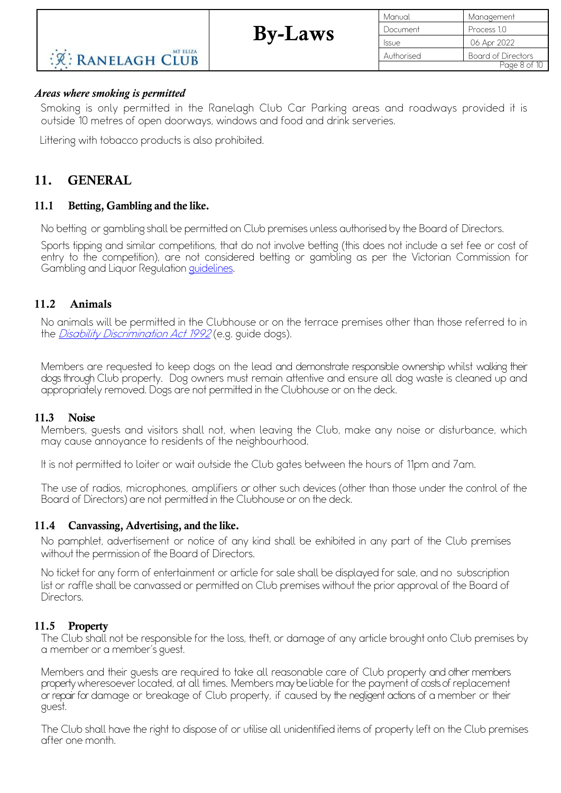| Manual       | Management                |
|--------------|---------------------------|
| Document     | Process 1.0               |
| <b>Issue</b> | 06 Apr 2022               |
| Authorised   | <b>Board of Directors</b> |
|              | Page 8 of 10              |

# **R: RANELAGH CLUB**

#### *Areas where smoking is permitted*

Smoking is only permitted in the Ranelagh Club Car Parking areas and roadways provided it is outside 10 metres of open doorways, windows and food and drink serveries.

Littering with tobacco products is also prohibited.

MT ELIZA

### 11. GENERAL

#### 11.1 Betting, Gambling and the like.

No betting or gambling shall be permitted on Club premises unless authorised by the Board of Directors.

Sports tipping and similar competitions, that do not involve betting (this does not include a set fee or cost of entry to the competition), are not considered betting or gambling as per the Victorian Commission for Gambling and Liquor Regulation guidelines.

#### 11.2 Animals

No animals will be permitted in the Clubhouse or on the terrace premises other than those referred to in the *Disability Discrimination Act 1992* (e.g. guide dogs).

Members are requested to keep dogs on the lead and demonstrate responsible ownership whilst walking their dogs through Club property. Dog owners must remain attentive and ensure all dog waste is cleaned up and appropriately removed. Dogs are not permitted in the Clubhouse or on the deck.

#### 11.3 Noise

Members, guests and visitors shall not, when leaving the Club, make any noise or disturbance, which may cause annoyance to residents of the neighbourhood.

It is not permitted to loiter or wait outside the Club gates between the hours of 11pm and 7am.

The use of radios, microphones, amplifiers or other such devices (other than those under the control of the Board of Directors) are not permitted in the Clubhouse or on the deck.

#### 11.4 Canvassing, Advertising, and the like.

No pamphlet, advertisement or notice of any kind shall be exhibited in any part of the Club premises without the permission of the Board of Directors.

No ticket for any form of entertainment or article for sale shall be displayed for sale, and no subscription list or raffle shall be canvassed or permitted on Club premises without the prior approval of the Board of Directors.

#### 11.5 Property

The Club shall not be responsible for the loss, theft, or damage of any article brought onto Club premises by a member or a member's guest.

Members and their guests are required to take all reasonable care of Club property and other members property wheresoever located, at all times. Members may beliable for the payment of costs ofreplacement or repair for damage or breakage of Club property, if caused by the negligent actions of a member or their guest.

The Club shall have the right to dispose of or utilise all unidentified items of property left on the Club premises after one month.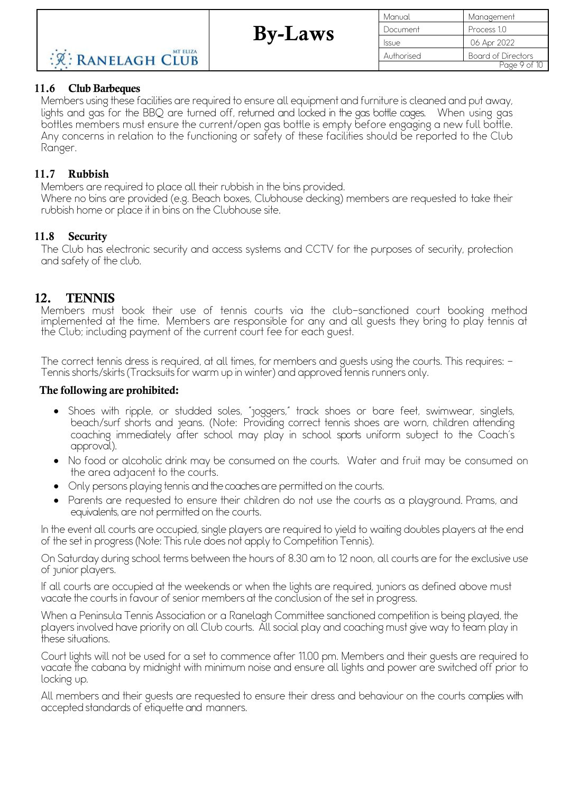| Manual       | Management         |
|--------------|--------------------|
| Document     | Process 1.0        |
| <b>Issue</b> | 06 Apr 2022        |
| Authorised   | Board of Directors |
|              | Page 9 of 10       |

#### 11.6 Club Barbeques

Members using these facilities are required to ensure all equipment and furniture is cleaned and put away, lights and gas for the BBQ are turned off, returned and locked in the gas bottle cages. When using gas bottles members must ensure the current/open gas bottle is empty before engaging a new full bottle. Any concerns in relation to the functioning or safety of these facilities should be reported to the Club Ranger.

#### 11.7 Rubbish

Members are required to place all their rubbish in the bins provided.

Where no bins are provided (e.g. Beach boxes, Clubhouse decking) members are requested to take their rubbish home or place it in bins on the Clubhouse site.

#### 11.8 Security

The Club has electronic security and access systems and CCTV for the purposes of security, protection and safety of the club.

#### 12. TENNIS

Members must book their use of tennis courts via the club-sanctioned court booking method implemented at the time. Members are responsible for any and all guests they bring to play tennis at the Club; including payment of the current court fee for each guest.

The correct tennis dress is required, at all times, for members and guests using the courts. This requires: - Tennisshorts/skirts(Tracksuitsfor warm up in winter) and approved tennisrunners only.

#### The following are prohibited:

- Shoes with ripple, or studded soles, "joggers," track shoes or bare feet, swimwear, singlets, beach/surf shorts and jeans. (Note: Providing correct tennis shoes are worn, children attending coaching immediately after school may play in school sports uniform subject to the Coach's approval).
- No food or alcoholic drink may be consumed on the courts. Water and fruit may be consumed on the area adjacent to the courts.
- Only persons playing tennis and the coaches are permitted on the courts.
- Parents are requested to ensure their children do not use the courts as a playground. Prams, and equivalents, are not permitted on the courts.

In the event all courts are occupied, single players are required to yield to waiting doubles players at the end of the set in progress(Note: This rule does not apply to Competition Tennis).

On Saturday during school terms between the hours of 8.30 am to 12 noon, all courts are for the exclusive use of junior players.

If all courts are occupied at the weekends or when the lights are required, juniors as defined above must vacate the courts in favour of senior members at the conclusion of the set in progress.

When a Peninsula Tennis Association or a Ranelagh Committee sanctioned competition is being played, the playersinvolved have priority on all Club courts. All social play and coaching must give way to team play in these situations.

Court lights will not be used for a set to commence after 11.00 pm. Members and their guests are required to vacate the cabana by midnight with minimum noise and ensure all lights and power are switched off prior to locking up.

All members and their guests are requested to ensure their dress and behaviour on the courts complies with accepted standards of etiquette and manners.